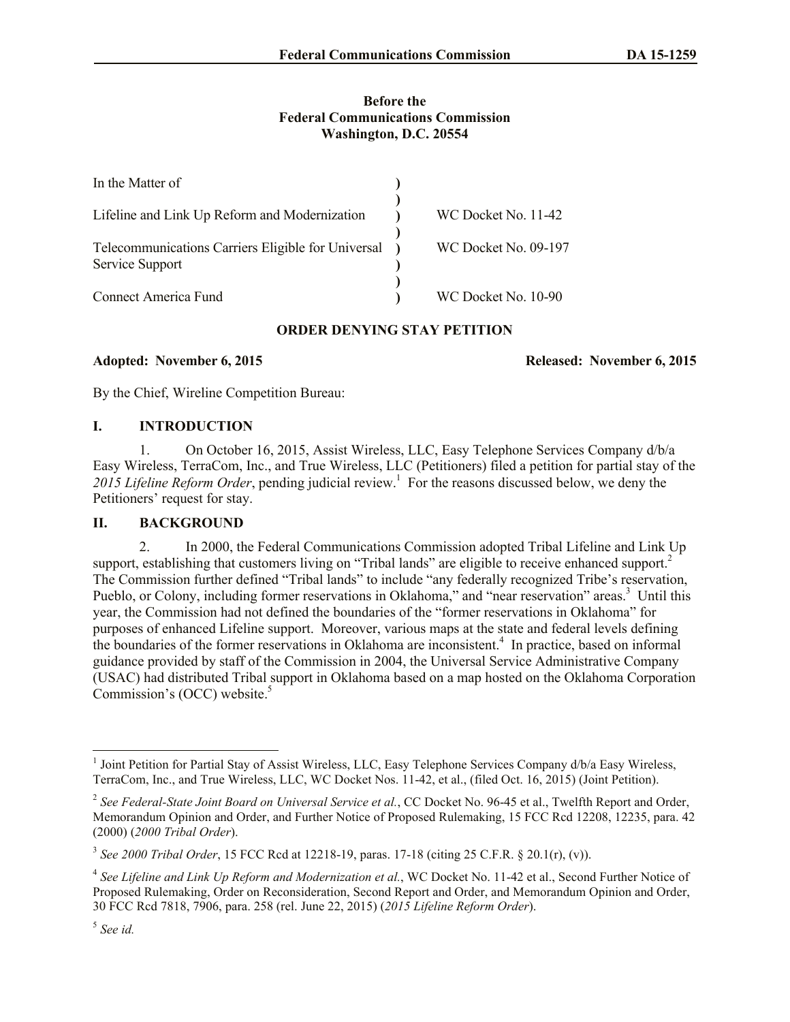### **Before the Federal Communications Commission Washington, D.C. 20554**

| In the Matter of                                                      |                      |
|-----------------------------------------------------------------------|----------------------|
| Lifeline and Link Up Reform and Modernization                         | WC Docket No. 11-42  |
| Telecommunications Carriers Eligible for Universal<br>Service Support | WC Docket No. 09-197 |
| <b>Connect America Fund</b>                                           | WC Docket No. 10-90  |

## **ORDER DENYING STAY PETITION**

**Adopted: November 6, 2015 Released: November 6, 2015**

By the Chief, Wireline Competition Bureau:

## **I. INTRODUCTION**

1. On October 16, 2015, Assist Wireless, LLC, Easy Telephone Services Company d/b/a Easy Wireless, TerraCom, Inc., and True Wireless, LLC (Petitioners) filed a petition for partial stay of the *2015 Lifeline Reform Order*, pending judicial review. 1 For the reasons discussed below, we deny the Petitioners' request for stay.

### **II. BACKGROUND**

2. In 2000, the Federal Communications Commission adopted Tribal Lifeline and Link Up support, establishing that customers living on "Tribal lands" are eligible to receive enhanced support.<sup>2</sup> The Commission further defined "Tribal lands" to include "any federally recognized Tribe's reservation, Pueblo, or Colony, including former reservations in Oklahoma," and "near reservation" areas.<sup>3</sup> Until this year, the Commission had not defined the boundaries of the "former reservations in Oklahoma" for purposes of enhanced Lifeline support. Moreover, various maps at the state and federal levels defining the boundaries of the former reservations in Oklahoma are inconsistent. 4 In practice, based on informal guidance provided by staff of the Commission in 2004, the Universal Service Administrative Company (USAC) had distributed Tribal support in Oklahoma based on a map hosted on the Oklahoma Corporation Commission's (OCC) website.<sup>5</sup>

l <sup>1</sup> Joint Petition for Partial Stay of Assist Wireless, LLC, Easy Telephone Services Company d/b/a Easy Wireless, TerraCom, Inc., and True Wireless, LLC, WC Docket Nos. 11-42, et al., (filed Oct. 16, 2015) (Joint Petition).

<sup>&</sup>lt;sup>2</sup> See Federal-State Joint Board on Universal Service et al., CC Docket No. 96-45 et al., Twelfth Report and Order, Memorandum Opinion and Order, and Further Notice of Proposed Rulemaking, 15 FCC Rcd 12208, 12235, para. 42 (2000) (*2000 Tribal Order*).

<sup>3</sup> *See 2000 Tribal Order*, 15 FCC Rcd at 12218-19, paras. 17-18 (citing 25 C.F.R. § 20.1(r), (v)).

<sup>4</sup> *See Lifeline and Link Up Reform and Modernization et al.*, WC Docket No. 11-42 et al., Second Further Notice of Proposed Rulemaking, Order on Reconsideration, Second Report and Order, and Memorandum Opinion and Order, 30 FCC Rcd 7818, 7906, para. 258 (rel. June 22, 2015) (*2015 Lifeline Reform Order*).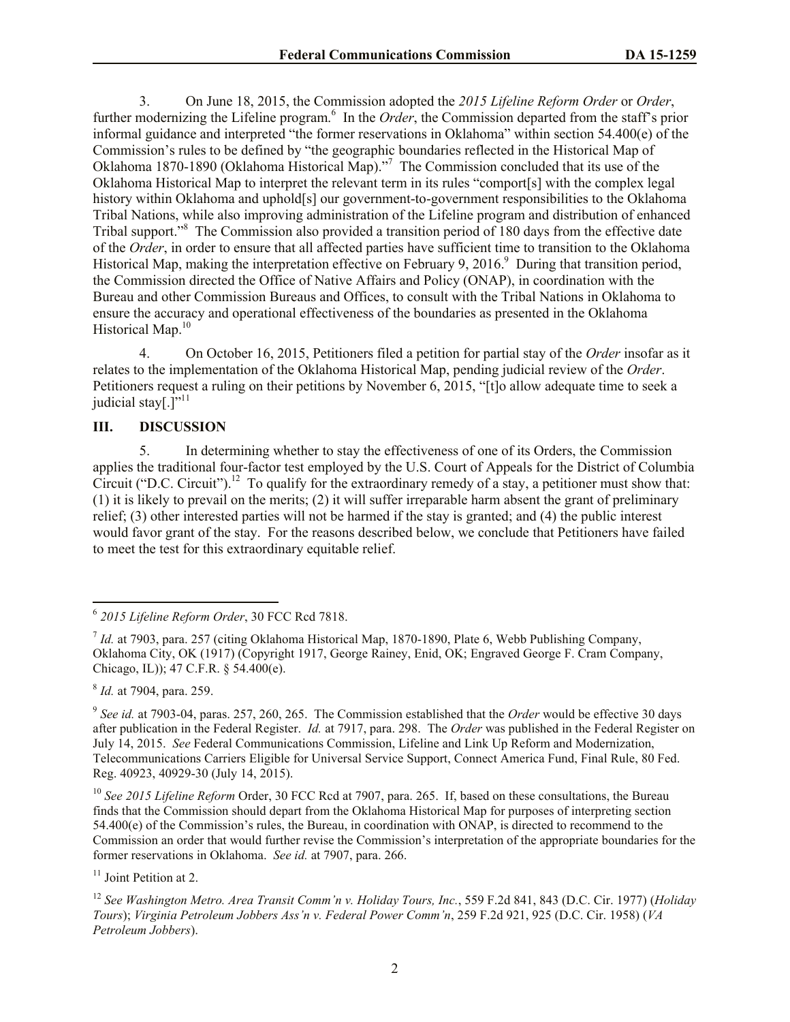3. On June 18, 2015, the Commission adopted the *2015 Lifeline Reform Order* or *Order*, further modernizing the Lifeline program.<sup>6</sup> In the *Order*, the Commission departed from the staff's prior informal guidance and interpreted "the former reservations in Oklahoma" within section 54.400(e) of the Commission's rules to be defined by "the geographic boundaries reflected in the Historical Map of Oklahoma 1870-1890 (Oklahoma Historical Map)."<sup>7</sup> The Commission concluded that its use of the Oklahoma Historical Map to interpret the relevant term in its rules "comport[s] with the complex legal history within Oklahoma and uphold[s] our government-to-government responsibilities to the Oklahoma Tribal Nations, while also improving administration of the Lifeline program and distribution of enhanced Tribal support."<sup>8</sup> The Commission also provided a transition period of 180 days from the effective date of the *Order*, in order to ensure that all affected parties have sufficient time to transition to the Oklahoma Historical Map, making the interpretation effective on February 9, 2016.<sup>9</sup> During that transition period, the Commission directed the Office of Native Affairs and Policy (ONAP), in coordination with the Bureau and other Commission Bureaus and Offices, to consult with the Tribal Nations in Oklahoma to ensure the accuracy and operational effectiveness of the boundaries as presented in the Oklahoma Historical Map. $10$ 

4. On October 16, 2015, Petitioners filed a petition for partial stay of the *Order* insofar as it relates to the implementation of the Oklahoma Historical Map, pending judicial review of the *Order*. Petitioners request a ruling on their petitions by November 6, 2015, "[t]o allow adequate time to seek a judicial stay[ $.\tilde{ } ]^{n11}$ 

## **III. DISCUSSION**

5. In determining whether to stay the effectiveness of one of its Orders, the Commission applies the traditional four-factor test employed by the U.S. Court of Appeals for the District of Columbia Circuit ("D.C. Circuit").<sup>12</sup> To qualify for the extraordinary remedy of a stay, a petitioner must show that: (1) it is likely to prevail on the merits; (2) it will suffer irreparable harm absent the grant of preliminary relief; (3) other interested parties will not be harmed if the stay is granted; and (4) the public interest would favor grant of the stay. For the reasons described below, we conclude that Petitioners have failed to meet the test for this extraordinary equitable relief.

8 *Id.* at 7904, para. 259.

 $\overline{\phantom{a}}$ 

9 *See id.* at 7903-04, paras. 257, 260, 265. The Commission established that the *Order* would be effective 30 days after publication in the Federal Register. *Id.* at 7917, para. 298. The *Order* was published in the Federal Register on July 14, 2015. *See* Federal Communications Commission, Lifeline and Link Up Reform and Modernization, Telecommunications Carriers Eligible for Universal Service Support, Connect America Fund, Final Rule, 80 Fed. Reg. 40923, 40929-30 (July 14, 2015).

<sup>10</sup> See 2015 Lifeline Reform Order, 30 FCC Rcd at 7907, para. 265. If, based on these consultations, the Bureau finds that the Commission should depart from the Oklahoma Historical Map for purposes of interpreting section 54.400(e) of the Commission's rules, the Bureau, in coordination with ONAP, is directed to recommend to the Commission an order that would further revise the Commission's interpretation of the appropriate boundaries for the former reservations in Oklahoma. *See id.* at 7907, para. 266.

 $11$  Joint Petition at 2.

<sup>12</sup> *See Washington Metro. Area Transit Comm'n v. Holiday Tours, Inc.*, 559 F.2d 841, 843 (D.C. Cir. 1977) (*Holiday Tours*); *Virginia Petroleum Jobbers Ass'n v. Federal Power Comm'n*, 259 F.2d 921, 925 (D.C. Cir. 1958) (*VA Petroleum Jobbers*).

<sup>6</sup> *2015 Lifeline Reform Order*, 30 FCC Rcd 7818.

<sup>&</sup>lt;sup>7</sup> *Id.* at 7903, para. 257 (citing Oklahoma Historical Map, 1870-1890, Plate 6, Webb Publishing Company, Oklahoma City, OK (1917) (Copyright 1917, George Rainey, Enid, OK; Engraved George F. Cram Company, Chicago, IL)); 47 C.F.R. § 54.400(e).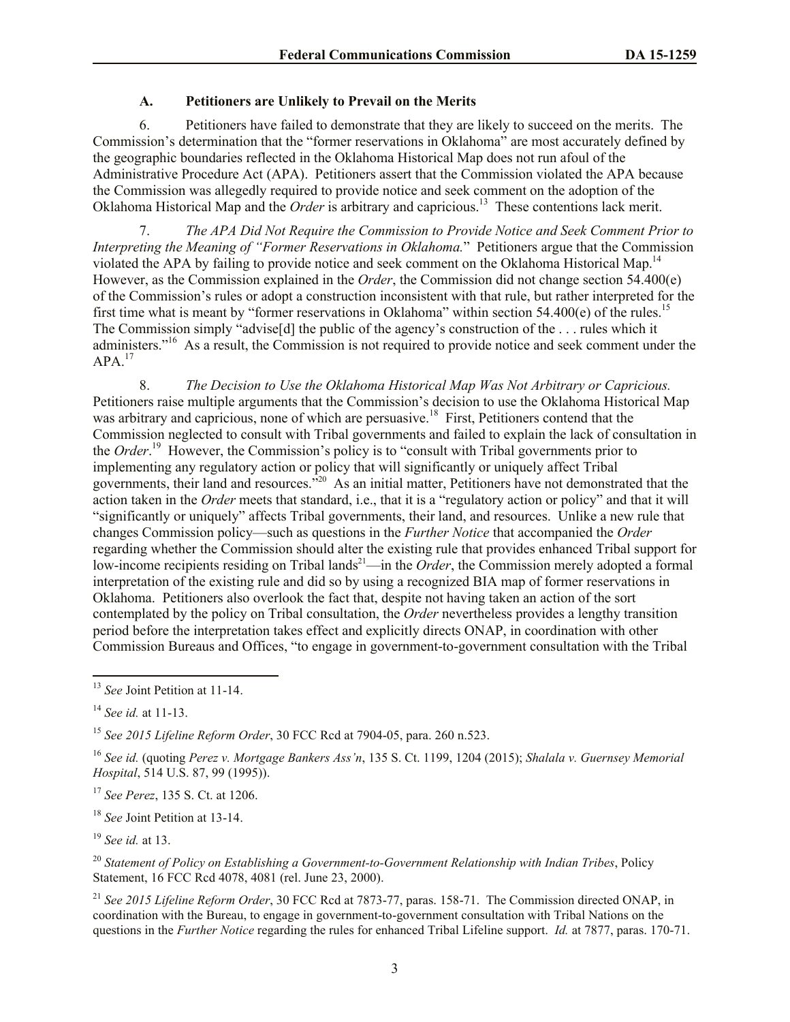#### **A. Petitioners are Unlikely to Prevail on the Merits**

6. Petitioners have failed to demonstrate that they are likely to succeed on the merits. The Commission's determination that the "former reservations in Oklahoma" are most accurately defined by the geographic boundaries reflected in the Oklahoma Historical Map does not run afoul of the Administrative Procedure Act (APA). Petitioners assert that the Commission violated the APA because the Commission was allegedly required to provide notice and seek comment on the adoption of the Oklahoma Historical Map and the *Order* is arbitrary and capricious.<sup>13</sup> These contentions lack merit.

7. *The APA Did Not Require the Commission to Provide Notice and Seek Comment Prior to Interpreting the Meaning of "Former Reservations in Oklahoma.*" Petitioners argue that the Commission violated the APA by failing to provide notice and seek comment on the Oklahoma Historical Map.<sup>14</sup> However, as the Commission explained in the *Order*, the Commission did not change section 54.400(e) of the Commission's rules or adopt a construction inconsistent with that rule, but rather interpreted for the first time what is meant by "former reservations in Oklahoma" within section 54.400(e) of the rules.<sup>15</sup> The Commission simply "advise[d] the public of the agency's construction of the . . . rules which it administers."<sup>16</sup> As a result, the Commission is not required to provide notice and seek comment under the  $APA.<sup>17</sup>$ 

8. *The Decision to Use the Oklahoma Historical Map Was Not Arbitrary or Capricious.* Petitioners raise multiple arguments that the Commission's decision to use the Oklahoma Historical Map was arbitrary and capricious, none of which are persuasive.<sup>18</sup> First, Petitioners contend that the Commission neglected to consult with Tribal governments and failed to explain the lack of consultation in the *Order*.<sup>19</sup> However, the Commission's policy is to "consult with Tribal governments prior to implementing any regulatory action or policy that will significantly or uniquely affect Tribal governments, their land and resources."<sup>20</sup> As an initial matter, Petitioners have not demonstrated that the action taken in the *Order* meets that standard, i.e., that it is a "regulatory action or policy" and that it will "significantly or uniquely" affects Tribal governments, their land, and resources. Unlike a new rule that changes Commission policy—such as questions in the *Further Notice* that accompanied the *Order*  regarding whether the Commission should alter the existing rule that provides enhanced Tribal support for low-income recipients residing on Tribal lands<sup>21</sup>—in the *Order*, the Commission merely adopted a formal interpretation of the existing rule and did so by using a recognized BIA map of former reservations in Oklahoma. Petitioners also overlook the fact that, despite not having taken an action of the sort contemplated by the policy on Tribal consultation, the *Order* nevertheless provides a lengthy transition period before the interpretation takes effect and explicitly directs ONAP, in coordination with other Commission Bureaus and Offices, "to engage in government-to-government consultation with the Tribal

 $\overline{\phantom{a}}$ 

<sup>15</sup> *See 2015 Lifeline Reform Order*, 30 FCC Rcd at 7904-05, para. 260 n.523.

<sup>16</sup> *See id.* (quoting *Perez v. Mortgage Bankers Ass'n*, 135 S. Ct. 1199, 1204 (2015); *Shalala v. Guernsey Memorial Hospital*, 514 U.S. 87, 99 (1995)).

<sup>17</sup> *See Perez*, 135 S. Ct. at 1206.

<sup>18</sup> *See* Joint Petition at 13-14.

<sup>19</sup> *See id.* at 13.

<sup>20</sup> *Statement of Policy on Establishing a Government-to-Government Relationship with Indian Tribes*, Policy Statement, 16 FCC Rcd 4078, 4081 (rel. June 23, 2000).

<sup>21</sup> *See 2015 Lifeline Reform Order*, 30 FCC Rcd at 7873-77, paras. 158-71. The Commission directed ONAP, in coordination with the Bureau, to engage in government-to-government consultation with Tribal Nations on the questions in the *Further Notice* regarding the rules for enhanced Tribal Lifeline support. *Id.* at 7877, paras. 170-71.

<sup>13</sup> *See* Joint Petition at 11-14.

<sup>14</sup> *See id.* at 11-13.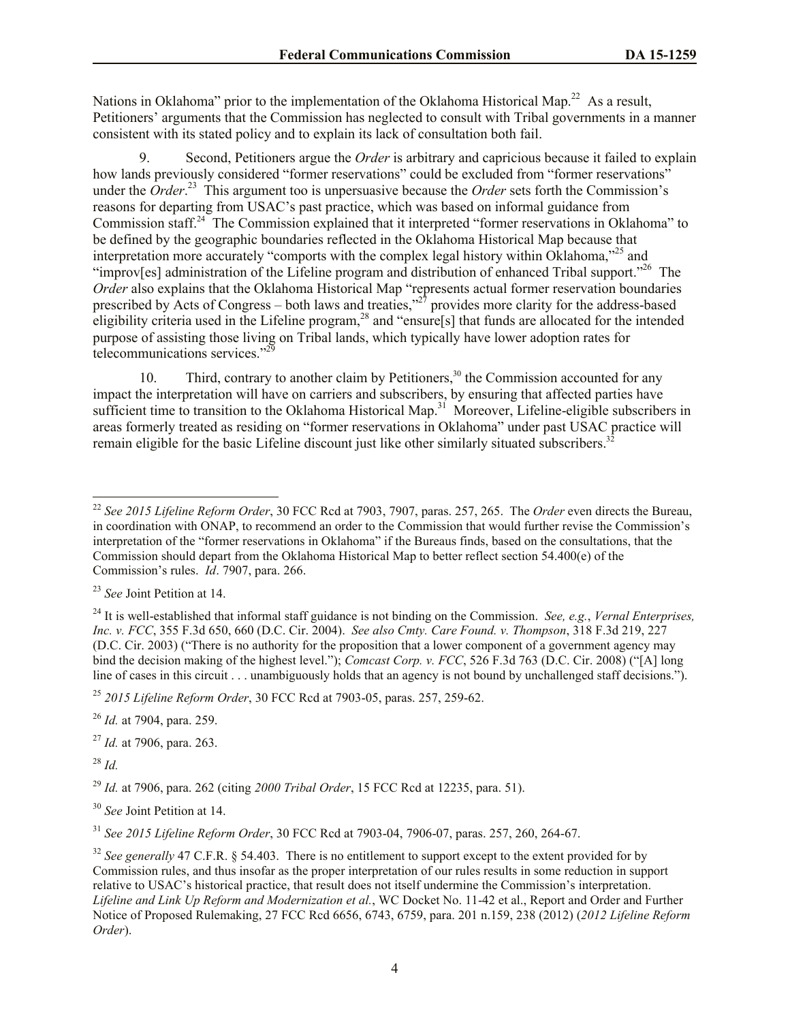Nations in Oklahoma" prior to the implementation of the Oklahoma Historical Map.<sup>22</sup> As a result, Petitioners' arguments that the Commission has neglected to consult with Tribal governments in a manner consistent with its stated policy and to explain its lack of consultation both fail.

9. Second, Petitioners argue the *Order* is arbitrary and capricious because it failed to explain how lands previously considered "former reservations" could be excluded from "former reservations" under the *Order*. <sup>23</sup> This argument too is unpersuasive because the *Order* sets forth the Commission's reasons for departing from USAC's past practice, which was based on informal guidance from Commission staff.<sup>24</sup> The Commission explained that it interpreted "former reservations in Oklahoma" to be defined by the geographic boundaries reflected in the Oklahoma Historical Map because that interpretation more accurately "comports with the complex legal history within Oklahoma,"<sup>25</sup> and "improv[es] administration of the Lifeline program and distribution of enhanced Tribal support."<sup>26</sup> The *Order* also explains that the Oklahoma Historical Map "represents actual former reservation boundaries prescribed by Acts of Congress – both laws and treaties," $^{27}$  provides more clarity for the address-based eligibility criteria used in the Lifeline program,<sup>28</sup> and "ensure[s] that funds are allocated for the intended purpose of assisting those living on Tribal lands, which typically have lower adoption rates for telecommunications services."<sup>29</sup>

10. Third, contrary to another claim by Petitioners,<sup>30</sup> the Commission accounted for any impact the interpretation will have on carriers and subscribers, by ensuring that affected parties have sufficient time to transition to the Oklahoma Historical Map.<sup>31</sup> Moreover, Lifeline-eligible subscribers in areas formerly treated as residing on "former reservations in Oklahoma" under past USAC practice will remain eligible for the basic Lifeline discount just like other similarly situated subscribers.<sup>3</sup>

<sup>25</sup> *2015 Lifeline Reform Order*, 30 FCC Rcd at 7903-05, paras. 257, 259-62.

<sup>26</sup> *Id.* at 7904, para. 259.

<sup>27</sup> *Id.* at 7906, para. 263.

<sup>28</sup> *Id.*

l

<sup>29</sup> *Id.* at 7906, para. 262 (citing *2000 Tribal Order*, 15 FCC Rcd at 12235, para. 51).

<sup>31</sup> *See 2015 Lifeline Reform Order*, 30 FCC Rcd at 7903-04, 7906-07, paras. 257, 260, 264-67.

<sup>22</sup> *See 2015 Lifeline Reform Order*, 30 FCC Rcd at 7903, 7907, paras. 257, 265. The *Order* even directs the Bureau, in coordination with ONAP, to recommend an order to the Commission that would further revise the Commission's interpretation of the "former reservations in Oklahoma" if the Bureaus finds, based on the consultations, that the Commission should depart from the Oklahoma Historical Map to better reflect section 54.400(e) of the Commission's rules. *Id*. 7907, para. 266.

<sup>23</sup> *See* Joint Petition at 14.

<sup>24</sup> It is well-established that informal staff guidance is not binding on the Commission. *See, e.g.*, *Vernal Enterprises, Inc. v. FCC*, 355 F.3d 650, 660 (D.C. Cir. 2004). *See also Cmty. Care Found. v. Thompson*, 318 F.3d 219, 227 (D.C. Cir. 2003) ("There is no authority for the proposition that a lower component of a government agency may bind the decision making of the highest level."); *Comcast Corp. v. FCC*, 526 F.3d 763 (D.C. Cir. 2008) ("[A] long line of cases in this circuit . . . unambiguously holds that an agency is not bound by unchallenged staff decisions.").

<sup>30</sup> *See* Joint Petition at 14.

<sup>&</sup>lt;sup>32</sup> See generally 47 C.F.R. § 54.403. There is no entitlement to support except to the extent provided for by Commission rules, and thus insofar as the proper interpretation of our rules results in some reduction in support relative to USAC's historical practice, that result does not itself undermine the Commission's interpretation. *Lifeline and Link Up Reform and Modernization et al.*, WC Docket No. 11-42 et al., Report and Order and Further Notice of Proposed Rulemaking, 27 FCC Rcd 6656, 6743, 6759, para. 201 n.159, 238 (2012) (*2012 Lifeline Reform Order*).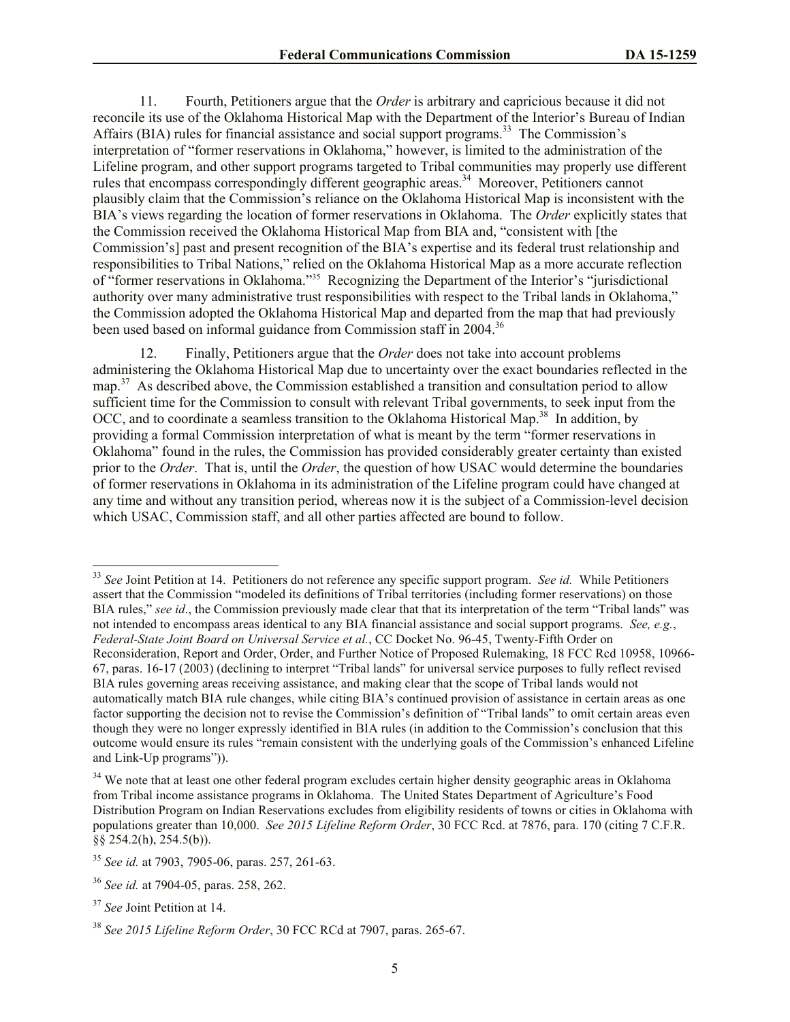11. Fourth, Petitioners argue that the *Order* is arbitrary and capricious because it did not reconcile its use of the Oklahoma Historical Map with the Department of the Interior's Bureau of Indian Affairs (BIA) rules for financial assistance and social support programs.<sup>33</sup> The Commission's interpretation of "former reservations in Oklahoma," however, is limited to the administration of the Lifeline program, and other support programs targeted to Tribal communities may properly use different rules that encompass correspondingly different geographic areas.<sup>34</sup> Moreover, Petitioners cannot plausibly claim that the Commission's reliance on the Oklahoma Historical Map is inconsistent with the BIA's views regarding the location of former reservations in Oklahoma. The *Order* explicitly states that the Commission received the Oklahoma Historical Map from BIA and, "consistent with [the Commission's] past and present recognition of the BIA's expertise and its federal trust relationship and responsibilities to Tribal Nations," relied on the Oklahoma Historical Map as a more accurate reflection of "former reservations in Oklahoma."<sup>35</sup> Recognizing the Department of the Interior's "jurisdictional authority over many administrative trust responsibilities with respect to the Tribal lands in Oklahoma," the Commission adopted the Oklahoma Historical Map and departed from the map that had previously been used based on informal guidance from Commission staff in 2004.<sup>36</sup>

12. Finally, Petitioners argue that the *Order* does not take into account problems administering the Oklahoma Historical Map due to uncertainty over the exact boundaries reflected in the map.<sup>37</sup> As described above, the Commission established a transition and consultation period to allow sufficient time for the Commission to consult with relevant Tribal governments, to seek input from the OCC, and to coordinate a seamless transition to the Oklahoma Historical Map.<sup>38</sup> In addition, by providing a formal Commission interpretation of what is meant by the term "former reservations in Oklahoma" found in the rules, the Commission has provided considerably greater certainty than existed prior to the *Order*. That is, until the *Order*, the question of how USAC would determine the boundaries of former reservations in Oklahoma in its administration of the Lifeline program could have changed at any time and without any transition period, whereas now it is the subject of a Commission-level decision which USAC, Commission staff, and all other parties affected are bound to follow.

 $\overline{\phantom{a}}$ 

<sup>33</sup> *See* Joint Petition at 14. Petitioners do not reference any specific support program. *See id.* While Petitioners assert that the Commission "modeled its definitions of Tribal territories (including former reservations) on those BIA rules," see id., the Commission previously made clear that that its interpretation of the term "Tribal lands" was not intended to encompass areas identical to any BIA financial assistance and social support programs. *See, e.g.*, *Federal-State Joint Board on Universal Service et al.*, CC Docket No. 96-45, Twenty-Fifth Order on Reconsideration, Report and Order, Order, and Further Notice of Proposed Rulemaking, 18 FCC Rcd 10958, 10966- 67, paras. 16-17 (2003) (declining to interpret "Tribal lands" for universal service purposes to fully reflect revised BIA rules governing areas receiving assistance, and making clear that the scope of Tribal lands would not automatically match BIA rule changes, while citing BIA's continued provision of assistance in certain areas as one factor supporting the decision not to revise the Commission's definition of "Tribal lands" to omit certain areas even though they were no longer expressly identified in BIA rules (in addition to the Commission's conclusion that this outcome would ensure its rules "remain consistent with the underlying goals of the Commission's enhanced Lifeline and Link-Up programs")).

<sup>&</sup>lt;sup>34</sup> We note that at least one other federal program excludes certain higher density geographic areas in Oklahoma from Tribal income assistance programs in Oklahoma. The United States Department of Agriculture's Food Distribution Program on Indian Reservations excludes from eligibility residents of towns or cities in Oklahoma with populations greater than 10,000. *See 2015 Lifeline Reform Order*, 30 FCC Rcd. at 7876, para. 170 (citing 7 C.F.R. §§ 254.2(h), 254.5(b)).

<sup>35</sup> *See id.* at 7903, 7905-06, paras. 257, 261-63.

<sup>36</sup> *See id.* at 7904-05, paras. 258, 262.

<sup>37</sup> *See* Joint Petition at 14.

<sup>38</sup> *See 2015 Lifeline Reform Order*, 30 FCC RCd at 7907, paras. 265-67.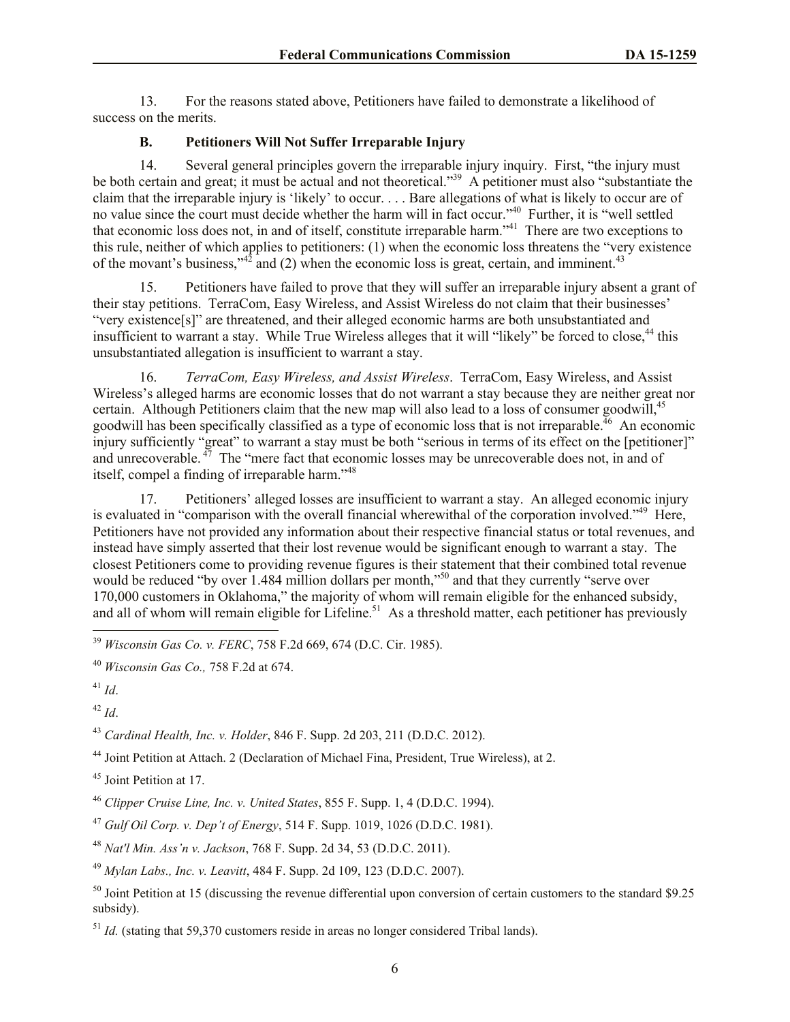13. For the reasons stated above, Petitioners have failed to demonstrate a likelihood of success on the merits.

## **B. Petitioners Will Not Suffer Irreparable Injury**

14. Several general principles govern the irreparable injury inquiry. First, "the injury must be both certain and great; it must be actual and not theoretical."<sup>39</sup> A petitioner must also "substantiate the claim that the irreparable injury is 'likely' to occur. . . . Bare allegations of what is likely to occur are of no value since the court must decide whether the harm will in fact occur."<sup>40</sup> Further, it is "well settled that economic loss does not, in and of itself, constitute irreparable harm."<sup>41</sup> There are two exceptions to this rule, neither of which applies to petitioners: (1) when the economic loss threatens the "very existence of the movant's business,  $^{42}$  and (2) when the economic loss is great, certain, and imminent.<sup>43</sup>

15. Petitioners have failed to prove that they will suffer an irreparable injury absent a grant of their stay petitions. TerraCom, Easy Wireless, and Assist Wireless do not claim that their businesses' "very existence[s]" are threatened, and their alleged economic harms are both unsubstantiated and insufficient to warrant a stay. While True Wireless alleges that it will "likely" be forced to close,<sup>44</sup> this unsubstantiated allegation is insufficient to warrant a stay.

16. *TerraCom, Easy Wireless, and Assist Wireless*. TerraCom, Easy Wireless, and Assist Wireless's alleged harms are economic losses that do not warrant a stay because they are neither great nor certain. Although Petitioners claim that the new map will also lead to a loss of consumer goodwill,<sup>45</sup> goodwill has been specifically classified as a type of economic loss that is not irreparable.<sup>46</sup> An economic injury sufficiently "great" to warrant a stay must be both "serious in terms of its effect on the [petitioner]" and unrecoverable.  $^{47}$  The "mere fact that economic losses may be unrecoverable does not, in and of itself, compel a finding of irreparable harm.<sup>148</sup>

17. Petitioners' alleged losses are insufficient to warrant a stay. An alleged economic injury is evaluated in "comparison with the overall financial wherewithal of the corporation involved."<sup>49</sup> Here, Petitioners have not provided any information about their respective financial status or total revenues, and instead have simply asserted that their lost revenue would be significant enough to warrant a stay. The closest Petitioners come to providing revenue figures is their statement that their combined total revenue would be reduced "by over 1.484 million dollars per month,"<sup>50</sup> and that they currently "serve over 170,000 customers in Oklahoma," the majority of whom will remain eligible for the enhanced subsidy, and all of whom will remain eligible for Lifeline.<sup>51</sup> As a threshold matter, each petitioner has previously

<sup>39</sup> *Wisconsin Gas Co. v. FERC*, 758 F.2d 669, 674 (D.C. Cir. 1985).

 $\overline{\phantom{a}}$ 

<sup>42</sup> *Id*.

<sup>43</sup> *Cardinal Health, Inc. v. Holder*, 846 F. Supp. 2d 203, 211 (D.D.C. 2012).

<sup>44</sup> Joint Petition at Attach. 2 (Declaration of Michael Fina, President, True Wireless), at 2.

<sup>45</sup> Joint Petition at 17.

<sup>46</sup> *Clipper Cruise Line, Inc. v. United States*, 855 F. Supp. 1, 4 (D.D.C. 1994).

<sup>47</sup> *Gulf Oil Corp. v. Dep't of Energy*, 514 F. Supp. 1019, 1026 (D.D.C. 1981).

<sup>48</sup> *Nat'l Min. Ass'n v. Jackson*, 768 F. Supp. 2d 34, 53 (D.D.C. 2011).

<sup>49</sup> *Mylan Labs., Inc. v. Leavitt*, 484 F. Supp. 2d 109, 123 (D.D.C. 2007).

 $50$  Joint Petition at 15 (discussing the revenue differential upon conversion of certain customers to the standard \$9.25 subsidy).

<sup>51</sup> *Id.* (stating that 59,370 customers reside in areas no longer considered Tribal lands).

<sup>40</sup> *Wisconsin Gas Co.,* 758 F.2d at 674.

<sup>41</sup> *Id*.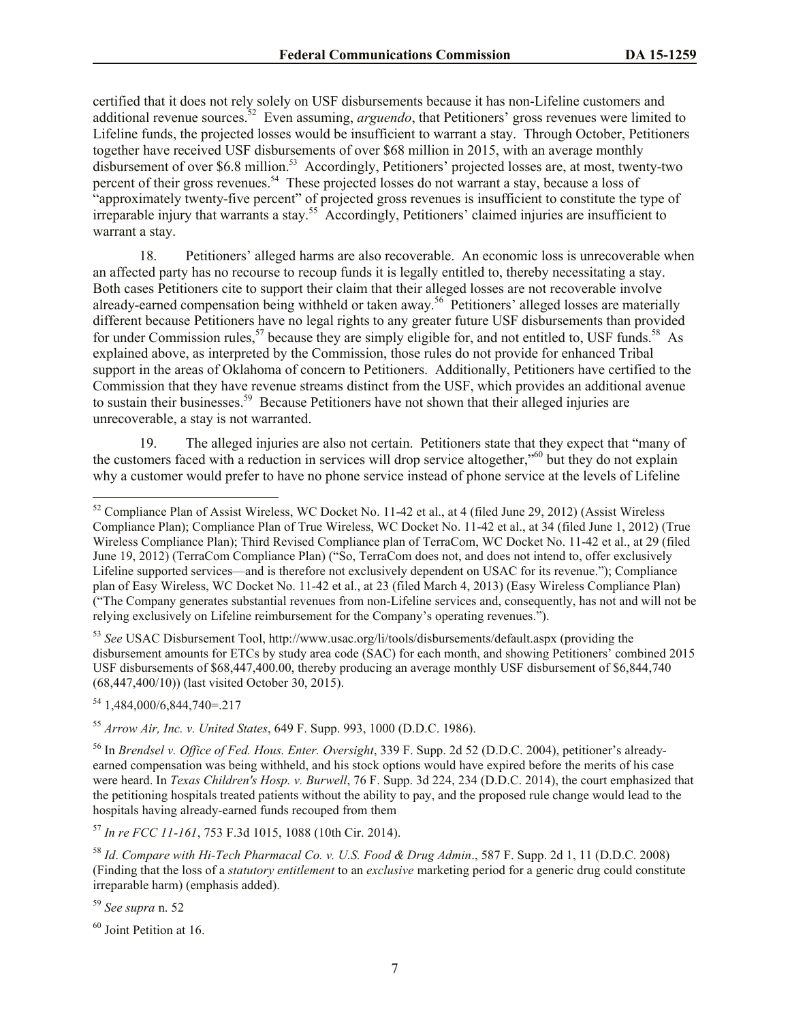certified that it does not rely solely on USF disbursements because it has non-Lifeline customers and additional revenue sources.<sup>52</sup> Even assuming, *arguendo*, that Petitioners' gross revenues were limited to Lifeline funds, the projected losses would be insufficient to warrant a stay. Through October, Petitioners together have received USF disbursements of over \$68 million in 2015, with an average monthly disbursement of over \$6.8 million.<sup>53</sup> Accordingly, Petitioners' projected losses are, at most, twenty-two percent of their gross revenues.<sup>54</sup> These projected losses do not warrant a stay, because a loss of "approximately twenty-five percent" of projected gross revenues is insufficient to constitute the type of irreparable injury that warrants a stay.<sup>55</sup> Accordingly, Petitioners' claimed injuries are insufficient to warrant a stay.

18. Petitioners' alleged harms are also recoverable. An economic loss is unrecoverable when an affected party has no recourse to recoup funds it is legally entitled to, thereby necessitating a stay. Both cases Petitioners cite to support their claim that their alleged losses are not recoverable involve already-earned compensation being withheld or taken away.<sup>56</sup> Petitioners' alleged losses are materially different because Petitioners have no legal rights to any greater future USF disbursements than provided for under Commission rules,  $57$  because they are simply eligible for, and not entitled to, USF funds.<sup>58</sup> As explained above, as interpreted by the Commission, those rules do not provide for enhanced Tribal support in the areas of Oklahoma of concern to Petitioners. Additionally, Petitioners have certified to the Commission that they have revenue streams distinct from the USF, which provides an additional avenue to sustain their businesses.<sup>59</sup> Because Petitioners have not shown that their alleged injuries are unrecoverable, a stay is not warranted.

19. The alleged injuries are also not certain. Petitioners state that they expect that "many of the customers faced with a reduction in services will drop service altogether,"<sup>60</sup> but they do not explain why a customer would prefer to have no phone service instead of phone service at the levels of Lifeline

<sup>53</sup> *See* USAC Disbursement Tool, http://www.usac.org/li/tools/disbursements/default.aspx (providing the disbursement amounts for ETCs by study area code (SAC) for each month, and showing Petitioners' combined 2015 USF disbursements of \$68,447,400.00, thereby producing an average monthly USF disbursement of \$6,844,740 (68,447,400/10)) (last visited October 30, 2015).

<sup>54</sup> 1,484,000/6,844,740=.217

 $\overline{\phantom{a}}$ 

<sup>55</sup> *Arrow Air, Inc. v. United States*, 649 F. Supp. 993, 1000 (D.D.C. 1986).

<sup>57</sup> *In re FCC 11-161*, 753 F.3d 1015, 1088 (10th Cir. 2014).

<sup>58</sup> *Id*. *Compare with Hi-Tech Pharmacal Co. v. U.S. Food & Drug Admin*., 587 F. Supp. 2d 1, 11 (D.D.C. 2008) (Finding that the loss of a *statutory entitlement* to an *exclusive* marketing period for a generic drug could constitute irreparable harm) (emphasis added).

<sup>59</sup> *See supra* n. 52

 $60$  Joint Petition at 16.

 $52$  Compliance Plan of Assist Wireless, WC Docket No. 11-42 et al., at 4 (filed June 29, 2012) (Assist Wireless Compliance Plan); Compliance Plan of True Wireless, WC Docket No. 11-42 et al., at 34 (filed June 1, 2012) (True Wireless Compliance Plan); Third Revised Compliance plan of TerraCom, WC Docket No. 11-42 et al., at 29 (filed June 19, 2012) (TerraCom Compliance Plan) ("So, TerraCom does not, and does not intend to, offer exclusively Lifeline supported services—and is therefore not exclusively dependent on USAC for its revenue."); Compliance plan of Easy Wireless, WC Docket No. 11-42 et al., at 23 (filed March 4, 2013) (Easy Wireless Compliance Plan) ("The Company generates substantial revenues from non-Lifeline services and, consequently, has not and will not be relying exclusively on Lifeline reimbursement for the Company's operating revenues.").

<sup>56</sup> In *Brendsel v. Office of Fed. Hous. Enter. Oversight*, 339 F. Supp. 2d 52 (D.D.C. 2004), petitioner's alreadyearned compensation was being withheld, and his stock options would have expired before the merits of his case were heard. In *Texas Children's Hosp. v. Burwell*, 76 F. Supp. 3d 224, 234 (D.D.C. 2014), the court emphasized that the petitioning hospitals treated patients without the ability to pay, and the proposed rule change would lead to the hospitals having already-earned funds recouped from them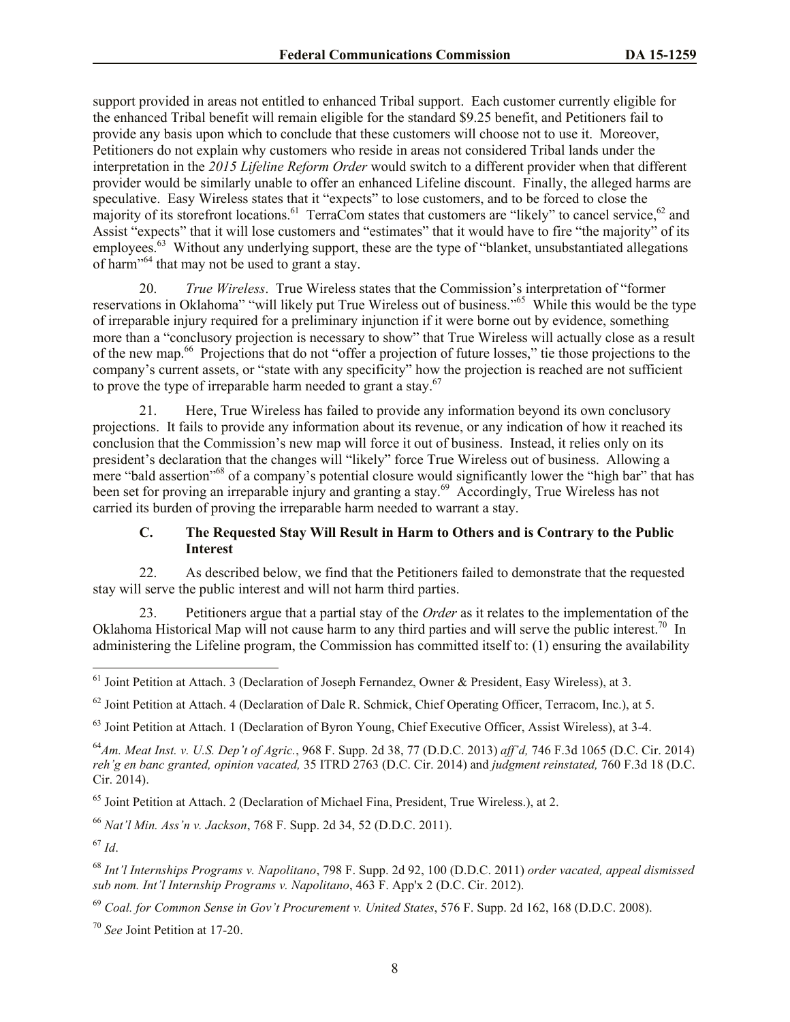support provided in areas not entitled to enhanced Tribal support. Each customer currently eligible for the enhanced Tribal benefit will remain eligible for the standard \$9.25 benefit, and Petitioners fail to provide any basis upon which to conclude that these customers will choose not to use it. Moreover, Petitioners do not explain why customers who reside in areas not considered Tribal lands under the interpretation in the *2015 Lifeline Reform Order* would switch to a different provider when that different provider would be similarly unable to offer an enhanced Lifeline discount. Finally, the alleged harms are speculative. Easy Wireless states that it "expects" to lose customers, and to be forced to close the majority of its storefront locations.<sup>61</sup> TerraCom states that customers are "likely" to cancel service,  $62$  and Assist "expects" that it will lose customers and "estimates" that it would have to fire "the majority" of its employees.<sup>63</sup> Without any underlying support, these are the type of "blanket, unsubstantiated allegations" of harm<sup> $64$ </sup> that may not be used to grant a stay.

20. *True Wireless*. True Wireless states that the Commission's interpretation of "former reservations in Oklahoma" "will likely put True Wireless out of business."<sup>65</sup> While this would be the type of irreparable injury required for a preliminary injunction if it were borne out by evidence, something more than a "conclusory projection is necessary to show" that True Wireless will actually close as a result of the new map.<sup>66</sup> Projections that do not "offer a projection of future losses," tie those projections to the company's current assets, or "state with any specificity" how the projection is reached are not sufficient to prove the type of irreparable harm needed to grant a stay. $67$ 

21. Here, True Wireless has failed to provide any information beyond its own conclusory projections. It fails to provide any information about its revenue, or any indication of how it reached its conclusion that the Commission's new map will force it out of business. Instead, it relies only on its president's declaration that the changes will "likely" force True Wireless out of business. Allowing a mere "bald assertion"<sup>68</sup> of a company's potential closure would significantly lower the "high bar" that has been set for proving an irreparable injury and granting a stay.<sup>69</sup> Accordingly, True Wireless has not carried its burden of proving the irreparable harm needed to warrant a stay.

# **C. The Requested Stay Will Result in Harm to Others and is Contrary to the Public Interest**

22. As described below, we find that the Petitioners failed to demonstrate that the requested stay will serve the public interest and will not harm third parties.

23. Petitioners argue that a partial stay of the *Order* as it relates to the implementation of the Oklahoma Historical Map will not cause harm to any third parties and will serve the public interest.<sup>70</sup> In administering the Lifeline program, the Commission has committed itself to: (1) ensuring the availability

 $\overline{\phantom{a}}$ 

<sup>70</sup> *See* Joint Petition at 17-20.

<sup>&</sup>lt;sup>61</sup> Joint Petition at Attach. 3 (Declaration of Joseph Fernandez, Owner & President, Easy Wireless), at 3.

 $62$  Joint Petition at Attach. 4 (Declaration of Dale R. Schmick, Chief Operating Officer, Terracom, Inc.), at 5.

<sup>63</sup> Joint Petition at Attach. 1 (Declaration of Byron Young, Chief Executive Officer, Assist Wireless), at 3-4.

<sup>64</sup>*Am. Meat Inst. v. U.S. Dep't of Agric.*, 968 F. Supp. 2d 38, 77 (D.D.C. 2013) *aff'd,* 746 F.3d 1065 (D.C. Cir. 2014) *reh'g en banc granted, opinion vacated,* 35 ITRD 2763 (D.C. Cir. 2014) and *judgment reinstated,* 760 F.3d 18 (D.C. Cir. 2014).

 $65$  Joint Petition at Attach. 2 (Declaration of Michael Fina, President, True Wireless.), at 2.

<sup>66</sup> *Nat'l Min. Ass'n v. Jackson*, 768 F. Supp. 2d 34, 52 (D.D.C. 2011).

 $^{67}$  *Id.* 

<sup>68</sup> *Int'l Internships Programs v. Napolitano*, 798 F. Supp. 2d 92, 100 (D.D.C. 2011) *order vacated, appeal dismissed sub nom. Int'l Internship Programs v. Napolitano*, 463 F. App'x 2 (D.C. Cir. 2012).

<sup>69</sup> *Coal. for Common Sense in Gov't Procurement v. United States*, 576 F. Supp. 2d 162, 168 (D.D.C. 2008).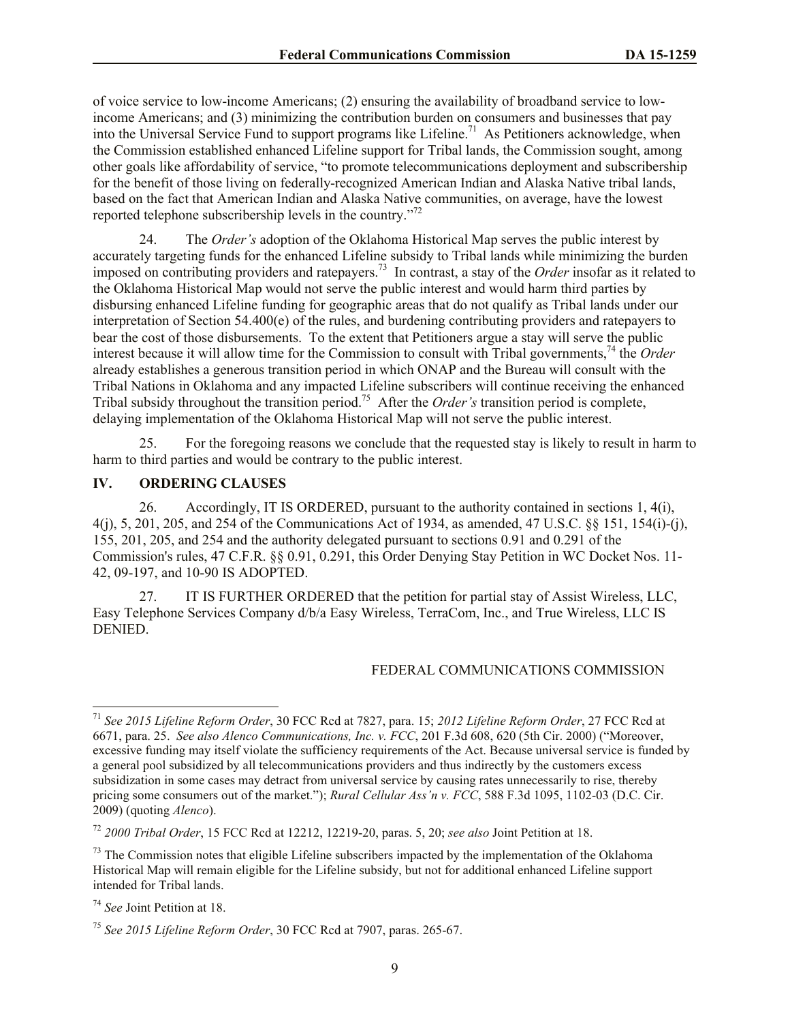of voice service to low-income Americans; (2) ensuring the availability of broadband service to lowincome Americans; and (3) minimizing the contribution burden on consumers and businesses that pay into the Universal Service Fund to support programs like Lifeline.<sup>71</sup> As Petitioners acknowledge, when the Commission established enhanced Lifeline support for Tribal lands, the Commission sought, among other goals like affordability of service, "to promote telecommunications deployment and subscribership for the benefit of those living on federally-recognized American Indian and Alaska Native tribal lands, based on the fact that American Indian and Alaska Native communities, on average, have the lowest reported telephone subscribership levels in the country.<sup>772</sup>

24. The *Order's* adoption of the Oklahoma Historical Map serves the public interest by accurately targeting funds for the enhanced Lifeline subsidy to Tribal lands while minimizing the burden imposed on contributing providers and ratepayers.<sup>73</sup> In contrast, a stay of the *Order* insofar as it related to the Oklahoma Historical Map would not serve the public interest and would harm third parties by disbursing enhanced Lifeline funding for geographic areas that do not qualify as Tribal lands under our interpretation of Section 54.400(e) of the rules, and burdening contributing providers and ratepayers to bear the cost of those disbursements. To the extent that Petitioners argue a stay will serve the public interest because it will allow time for the Commission to consult with Tribal governments, <sup>74</sup> the *Order* already establishes a generous transition period in which ONAP and the Bureau will consult with the Tribal Nations in Oklahoma and any impacted Lifeline subscribers will continue receiving the enhanced Tribal subsidy throughout the transition period. 75 After the *Order's* transition period is complete, delaying implementation of the Oklahoma Historical Map will not serve the public interest.

25. For the foregoing reasons we conclude that the requested stay is likely to result in harm to harm to third parties and would be contrary to the public interest.

## **IV. ORDERING CLAUSES**

26. Accordingly, IT IS ORDERED, pursuant to the authority contained in sections  $1, 4(i)$ , 4(j), 5, 201, 205, and 254 of the Communications Act of 1934, as amended, 47 U.S.C. §§ 151, 154(i)-(j), 155, 201, 205, and 254 and the authority delegated pursuant to sections 0.91 and 0.291 of the Commission's rules, 47 C.F.R. §§ 0.91, 0.291, this Order Denying Stay Petition in WC Docket Nos. 11- 42, 09-197, and 10-90 IS ADOPTED.

27. IT IS FURTHER ORDERED that the petition for partial stay of Assist Wireless, LLC, Easy Telephone Services Company d/b/a Easy Wireless, TerraCom, Inc., and True Wireless, LLC IS DENIED.

#### FEDERAL COMMUNICATIONS COMMISSION

 $\overline{\phantom{a}}$ 

<sup>71</sup> *See 2015 Lifeline Reform Order*, 30 FCC Rcd at 7827, para. 15; *2012 Lifeline Reform Order*, 27 FCC Rcd at 6671, para. 25. *See also Alenco Communications, Inc. v. FCC*, 201 F.3d 608, 620 (5th Cir. 2000) ("Moreover, excessive funding may itself violate the sufficiency requirements of the Act. Because universal service is funded by a general pool subsidized by all telecommunications providers and thus indirectly by the customers excess subsidization in some cases may detract from universal service by causing rates unnecessarily to rise, thereby pricing some consumers out of the market."); *Rural Cellular Ass'n v. FCC*, 588 F.3d 1095, 1102-03 (D.C. Cir. 2009) (quoting *Alenco*).

<sup>72</sup> *2000 Tribal Order*, 15 FCC Rcd at 12212, 12219-20, paras. 5, 20; *see also* Joint Petition at 18.

 $<sup>73</sup>$  The Commission notes that eligible Lifeline subscribers impacted by the implementation of the Oklahoma</sup> Historical Map will remain eligible for the Lifeline subsidy, but not for additional enhanced Lifeline support intended for Tribal lands.

<sup>74</sup> *See* Joint Petition at 18.

<sup>75</sup> *See 2015 Lifeline Reform Order*, 30 FCC Rcd at 7907, paras. 265-67.